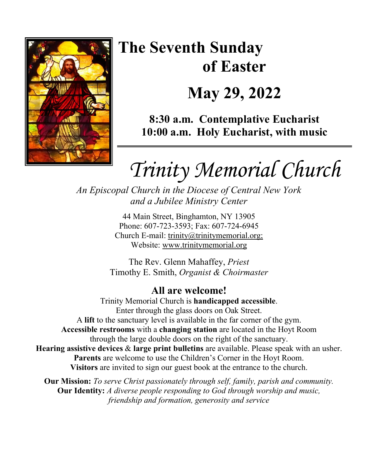

# **The Seventh Sunday of Easter May 29, 2022**

**8:30 a.m. Contemplative Eucharist 10:00 a.m. Holy Eucharist, with music**

*Trinity Memorial Church*

*An Episcopal Church in the Diocese of Central New York and a Jubilee Ministry Center* 

> 44 Main Street, Binghamton, NY 13905 Phone: 607-723-3593; Fax: 607-724-6945 Church E-mail: trinity@trinitymemorial.org; Website: www.trinitymemorial.org

The Rev. Glenn Mahaffey, *Priest* Timothy E. Smith, *Organist & Choirmaster* 

# **All are welcome!**

Trinity Memorial Church is **handicapped accessible**. Enter through the glass doors on Oak Street. A **lift** to the sanctuary level is available in the far corner of the gym. **Accessible restrooms** with a **changing station** are located in the Hoyt Room through the large double doors on the right of the sanctuary. **Hearing assistive devices** & **large print bulletins** are available. Please speak with an usher. **Parents** are welcome to use the Children's Corner in the Hoyt Room. **Visitors** are invited to sign our guest book at the entrance to the church.

**Our Mission:** *To serve Christ passionately through self, family, parish and community.*  **Our Identity:** *A diverse people responding to God through worship and music, friendship and formation, generosity and service*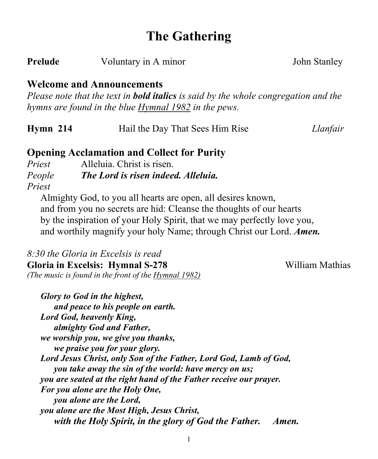# **The Gathering**

**Prelude** Voluntary in A minor John Stanley

### **Welcome and Announcements**

*Please note that the text in bold italics is said by the whole congregation and the hymns are found in the blue Hymnal 1982 in the pews.* 

| $Hvmn$ 214 | Hail the Day That Sees Him Rise | Llanfair |
|------------|---------------------------------|----------|
|            |                                 |          |

### **Opening Acclamation and Collect for Purity**

*Priest* Alleluia. Christ is risen. *People The Lord is risen indeed. Alleluia. Priest* 

Almighty God, to you all hearts are open, all desires known, and from you no secrets are hid: Cleanse the thoughts of our hearts by the inspiration of your Holy Spirit, that we may perfectly love you, and worthily magnify your holy Name; through Christ our Lord. *Amen.*

*8:30 the Gloria in Excelsis is read*  **Gloria in Excelsis: Hymnal S-278** William Mathias *(The music is found in the front of the Hymnal 1982)* 

*Glory to God in the highest, and peace to his people on earth. Lord God, heavenly King, almighty God and Father, we worship you, we give you thanks, we praise you for your glory. Lord Jesus Christ, only Son of the Father, Lord God, Lamb of God, you take away the sin of the world: have mercy on us; you are seated at the right hand of the Father receive our prayer. For you alone are the Holy One, you alone are the Lord, you alone are the Most High, Jesus Christ, with the Holy Spirit, in the glory of God the Father. Amen.*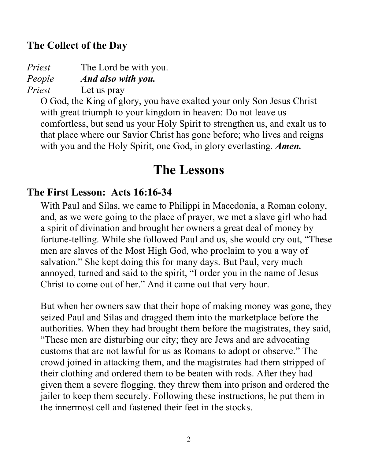### **The Collect of the Day**

*Priest* The Lord be with you. *People And also with you.*

*Priest* Let us pray

O God, the King of glory, you have exalted your only Son Jesus Christ with great triumph to your kingdom in heaven: Do not leave us comfortless, but send us your Holy Spirit to strengthen us, and exalt us to that place where our Savior Christ has gone before; who lives and reigns with you and the Holy Spirit, one God, in glory everlasting. *Amen.*

# **The Lessons**

### **The First Lesson: Acts 16:16-34**

With Paul and Silas, we came to Philippi in Macedonia, a Roman colony, and, as we were going to the place of prayer, we met a slave girl who had a spirit of divination and brought her owners a great deal of money by fortune-telling. While she followed Paul and us, she would cry out, "These men are slaves of the Most High God, who proclaim to you a way of salvation." She kept doing this for many days. But Paul, very much annoyed, turned and said to the spirit, "I order you in the name of Jesus Christ to come out of her." And it came out that very hour.

But when her owners saw that their hope of making money was gone, they seized Paul and Silas and dragged them into the marketplace before the authorities. When they had brought them before the magistrates, they said, "These men are disturbing our city; they are Jews and are advocating customs that are not lawful for us as Romans to adopt or observe." The crowd joined in attacking them, and the magistrates had them stripped of their clothing and ordered them to be beaten with rods. After they had given them a severe flogging, they threw them into prison and ordered the jailer to keep them securely. Following these instructions, he put them in the innermost cell and fastened their feet in the stocks.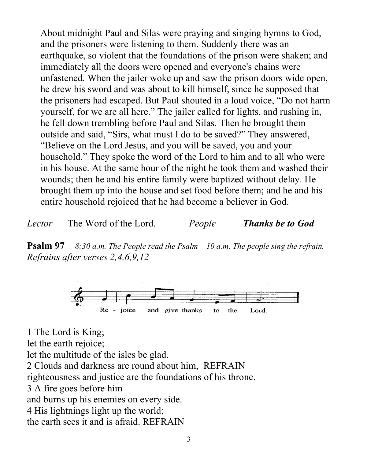About midnight Paul and Silas were praying and singing hymns to God, and the prisoners were listening to them. Suddenly there was an earthquake, so violent that the foundations of the prison were shaken; and immediately all the doors were opened and everyone's chains were unfastened. When the jailer woke up and saw the prison doors wide open, he drew his sword and was about to kill himself, since he supposed that the prisoners had escaped. But Paul shouted in a loud voice, "Do not harm yourself, for we are all here." The jailer called for lights, and rushing in, he fell down trembling before Paul and Silas. Then he brought them outside and said, "Sirs, what must I do to be saved?" They answered, "Believe on the Lord Jesus, and you will be saved, you and your household." They spoke the word of the Lord to him and to all who were in his house. At the same hour of the night he took them and washed their wounds; then he and his entire family were baptized without delay. He brought them up into the house and set food before them; and he and his entire household rejoiced that he had become a believer in God.

*Lector* The Word of the Lord. *People Thanks be to God*

**Psalm 97** *8:30 a.m. The People read the Psalm 10 a.m. The people sing the refrain. Refrains after verses 2,4,6,9,12*



1 The Lord is King; let the earth rejoice; let the multitude of the isles be glad. 2 Clouds and darkness are round about him, REFRAIN righteousness and justice are the foundations of his throne. 3 A fire goes before him and burns up his enemies on every side. 4 His lightnings light up the world; the earth sees it and is afraid. REFRAIN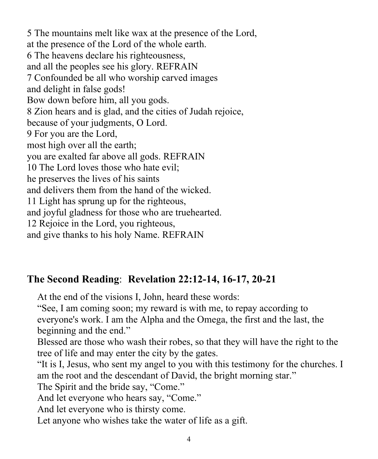5 The mountains melt like wax at the presence of the Lord, at the presence of the Lord of the whole earth. 6 The heavens declare his righteousness, and all the peoples see his glory. REFRAIN 7 Confounded be all who worship carved images and delight in false gods! Bow down before him, all you gods. 8 Zion hears and is glad, and the cities of Judah rejoice, because of your judgments, O Lord. 9 For you are the Lord, most high over all the earth; you are exalted far above all gods. REFRAIN 10 The Lord loves those who hate evil; he preserves the lives of his saints and delivers them from the hand of the wicked. 11 Light has sprung up for the righteous, and joyful gladness for those who are truehearted. 12 Rejoice in the Lord, you righteous, and give thanks to his holy Name. REFRAIN

# **The Second Reading**: **Revelation 22:12-14, 16-17, 20-21**

At the end of the visions I, John, heard these words:

"See, I am coming soon; my reward is with me, to repay according to everyone's work. I am the Alpha and the Omega, the first and the last, the beginning and the end."

Blessed are those who wash their robes, so that they will have the right to the tree of life and may enter the city by the gates.

"It is I, Jesus, who sent my angel to you with this testimony for the churches. I am the root and the descendant of David, the bright morning star."

The Spirit and the bride say, "Come."

And let everyone who hears say, "Come."

And let everyone who is thirsty come.

Let anyone who wishes take the water of life as a gift.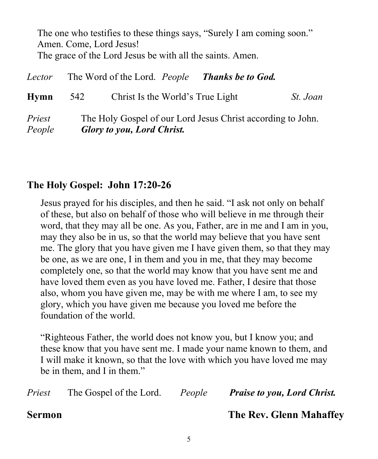The one who testifies to these things says, "Surely I am coming soon." Amen. Come, Lord Jesus! The grace of the Lord Jesus be with all the saints. Amen.

| Lector           |     | The Word of the Lord. People Thanks be to God.                                                   |          |
|------------------|-----|--------------------------------------------------------------------------------------------------|----------|
| Hymn             | 542 | Christ Is the World's True Light                                                                 | St. Joan |
| Priest<br>People |     | The Holy Gospel of our Lord Jesus Christ according to John.<br><b>Glory to you, Lord Christ.</b> |          |

### **The Holy Gospel: John 17:20-26**

Jesus prayed for his disciples, and then he said. "I ask not only on behalf of these, but also on behalf of those who will believe in me through their word, that they may all be one. As you, Father, are in me and I am in you, may they also be in us, so that the world may believe that you have sent me. The glory that you have given me I have given them, so that they may be one, as we are one, I in them and you in me, that they may become completely one, so that the world may know that you have sent me and have loved them even as you have loved me. Father, I desire that those also, whom you have given me, may be with me where I am, to see my glory, which you have given me because you loved me before the foundation of the world.

"Righteous Father, the world does not know you, but I know you; and these know that you have sent me. I made your name known to them, and I will make it known, so that the love with which you have loved me may be in them, and I in them."

|                      |  | <i>Priest</i> The Gospel of the Lord. People Praise to you, Lord Christ. |
|----------------------|--|--------------------------------------------------------------------------|
| $\mathbf{C}$ outpoon |  | $TL0, D0, CL1, M0, L0, f1, f2$                                           |

**Sermon The Rev. Glenn Mahaffey**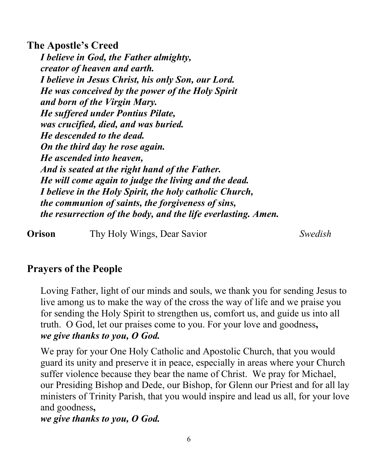**The Apostle's Creed** *I believe in God, the Father almighty, creator of heaven and earth. I believe in Jesus Christ, his only Son, our Lord. He was conceived by the power of the Holy Spirit and born of the Virgin Mary. He suffered under Pontius Pilate, was crucified, died, and was buried. He descended to the dead. On the third day he rose again. He ascended into heaven, And is seated at the right hand of the Father. He will come again to judge the living and the dead. I believe in the Holy Spirit, the holy catholic Church, the communion of saints, the forgiveness of sins, the resurrection of the body, and the life everlasting. Amen.* 

**Orison** Thy Holy Wings, Dear Savior *Swedish* 

# **Prayers of the People**

Loving Father, light of our minds and souls, we thank you for sending Jesus to live among us to make the way of the cross the way of life and we praise you for sending the Holy Spirit to strengthen us, comfort us, and guide us into all truth. O God, let our praises come to you. For your love and goodness**,**  *we give thanks to you, O God.* 

We pray for your One Holy Catholic and Apostolic Church, that you would guard its unity and preserve it in peace, especially in areas where your Church suffer violence because they bear the name of Christ. We pray for Michael, our Presiding Bishop and Dede, our Bishop, for Glenn our Priest and for all lay ministers of Trinity Parish, that you would inspire and lead us all, for your love and goodness**,** 

### *we give thanks to you, O God.*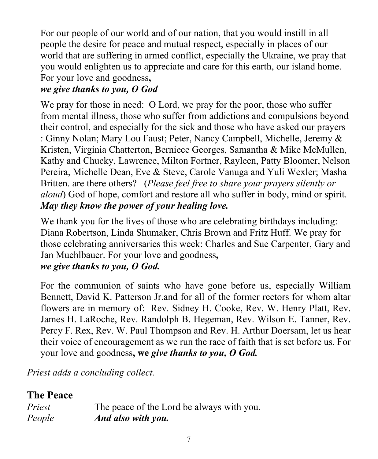For our people of our world and of our nation, that you would instill in all people the desire for peace and mutual respect, especially in places of our world that are suffering in armed conflict, especially the Ukraine, we pray that you would enlighten us to appreciate and care for this earth, our island home. For your love and goodness**,** 

# *we give thanks to you, O God*

We pray for those in need: O Lord, we pray for the poor, those who suffer from mental illness, those who suffer from addictions and compulsions beyond their control, and especially for the sick and those who have asked our prayers : Ginny Nolan; Mary Lou Faust; Peter, Nancy Campbell, Michelle, Jeremy & Kristen, Virginia Chatterton, Berniece Georges, Samantha & Mike McMullen, Kathy and Chucky, Lawrence, Milton Fortner, Rayleen, Patty Bloomer, Nelson Pereira, Michelle Dean, Eve & Steve, Carole Vanuga and Yuli Wexler; Masha Britten. are there others? (*Please feel free to share your prayers silently or aloud*) God of hope, comfort and restore all who suffer in body, mind or spirit. *May they know the power of your healing love.*

We thank you for the lives of those who are celebrating birthdays including: Diana Robertson, Linda Shumaker, Chris Brown and Fritz Huff. We pray for those celebrating anniversaries this week: Charles and Sue Carpenter, Gary and Jan Muehlbauer. For your love and goodness**,** 

# *we give thanks to you, O God.*

For the communion of saints who have gone before us, especially William Bennett, David K. Patterson Jr.and for all of the former rectors for whom altar flowers are in memory of: Rev. Sidney H. Cooke, Rev. W. Henry Platt, Rev. James H. LaRoche, Rev. Randolph B. Hegeman, Rev. Wilson E. Tanner, Rev. Percy F. Rex, Rev. W. Paul Thompson and Rev. H. Arthur Doersam, let us hear their voice of encouragement as we run the race of faith that is set before us. For your love and goodness**, we** *give thanks to you, O God.*

*Priest adds a concluding collect.* 

# **The Peace**

| Priest | The peace of the Lord be always with you. |
|--------|-------------------------------------------|
| People | And also with you.                        |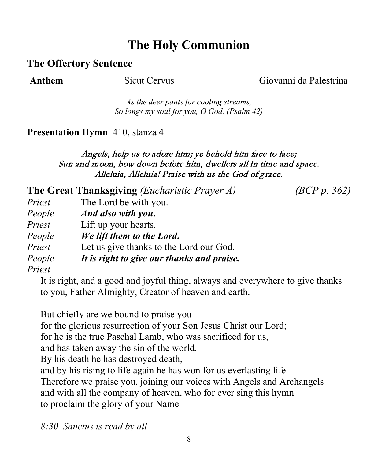# **The Holy Communion**

### **The Offertory Sentence**

**Anthem** Sicut Cervus Giovanni da Palestrina

*As the deer pants for cooling streams, So longs my soul for you, O God. (Psalm 42)*

### **Presentation Hymn** 410, stanza 4

### Angels, help us to adore him; ye behold him face to face; Sun and moon, bow down before him, dwellers all in time and space. Alleluia, Alleluia! Praise with us the God of grace.

**The Great Thanksgiving** *(Eucharistic Prayer A) (BCP p. 362) Priest* The Lord be with you. *People And also with you***.** *Priest* Lift up your hearts. *People We lift them to the Lord***.** *Priest* Let us give thanks to the Lord our God. *People It is right to give our thanks and praise.*

*Priest*

It is right, and a good and joyful thing, always and everywhere to give thanks to you, Father Almighty, Creator of heaven and earth.

But chiefly are we bound to praise you for the glorious resurrection of your Son Jesus Christ our Lord; for he is the true Paschal Lamb, who was sacrificed for us, and has taken away the sin of the world. By his death he has destroyed death, and by his rising to life again he has won for us everlasting life. Therefore we praise you, joining our voices with Angels and Archangels and with all the company of heaven, who for ever sing this hymn to proclaim the glory of your Name

*8:30 Sanctus is read by all*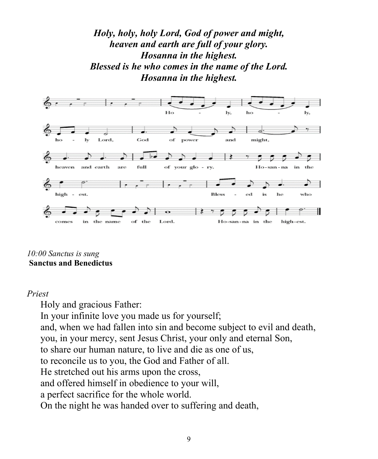### *Holy, holy, holy Lord, God of power and might, heaven and earth are full of your glory. Hosanna in the highest. Blessed is he who comes in the name of the Lord. Hosanna in the highest.*



*10:00 Sanctus is sung* **Sanctus and Benedictus**

### *Priest*

Holy and gracious Father: In your infinite love you made us for yourself; and, when we had fallen into sin and become subject to evil and death, you, in your mercy, sent Jesus Christ, your only and eternal Son, to share our human nature, to live and die as one of us, to reconcile us to you, the God and Father of all. He stretched out his arms upon the cross, and offered himself in obedience to your will, a perfect sacrifice for the whole world. On the night he was handed over to suffering and death,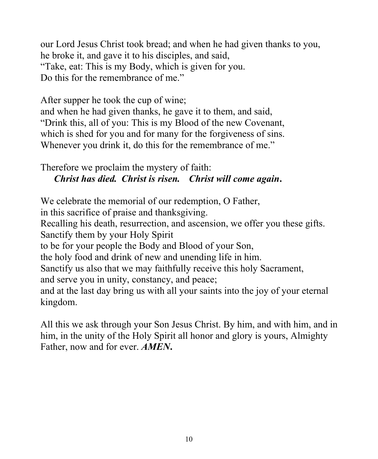our Lord Jesus Christ took bread; and when he had given thanks to you, he broke it, and gave it to his disciples, and said, "Take, eat: This is my Body, which is given for you. Do this for the remembrance of me."

After supper he took the cup of wine; and when he had given thanks, he gave it to them, and said, "Drink this, all of you: This is my Blood of the new Covenant, which is shed for you and for many for the forgiveness of sins. Whenever you drink it, do this for the remembrance of me."

Therefore we proclaim the mystery of faith: *Christ has died. Christ is risen. Christ will come again***.**

We celebrate the memorial of our redemption, O Father,

in this sacrifice of praise and thanksgiving.

Recalling his death, resurrection, and ascension, we offer you these gifts. Sanctify them by your Holy Spirit

to be for your people the Body and Blood of your Son,

the holy food and drink of new and unending life in him.

Sanctify us also that we may faithfully receive this holy Sacrament,

and serve you in unity, constancy, and peace;

and at the last day bring us with all your saints into the joy of your eternal kingdom.

All this we ask through your Son Jesus Christ. By him, and with him, and in him, in the unity of the Holy Spirit all honor and glory is yours, Almighty Father, now and for ever. *AMEN***.**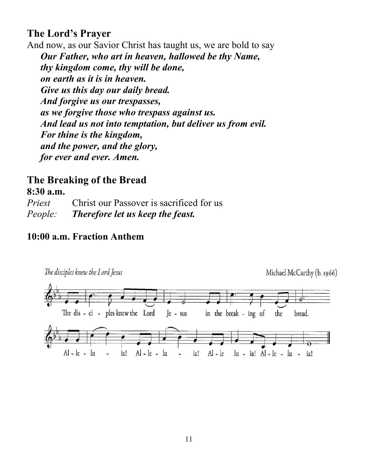# **The Lord's Prayer**

And now, as our Savior Christ has taught us, we are bold to say *Our Father, who art in heaven, hallowed be thy Name, thy kingdom come, thy will be done, on earth as it is in heaven. Give us this day our daily bread. And forgive us our trespasses, as we forgive those who trespass against us. And lead us not into temptation, but deliver us from evil. For thine is the kingdom, and the power, and the glory, for ever and ever. Amen.* 

### **The Breaking of the Bread 8:30 a.m.**

*Priest* Christ our Passover is sacrificed for us *People: Therefore let us keep the feast.* 

### **10:00 a.m. Fraction Anthem**

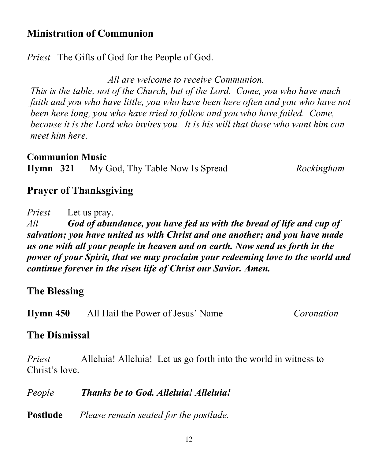### **Ministration of Communion**

*Priest* The Gifts of God for the People of God.

*All are welcome to receive Communion.*

*This is the table, not of the Church, but of the Lord. Come, you who have much faith and you who have little, you who have been here often and you who have not been here long, you who have tried to follow and you who have failed. Come, because it is the Lord who invites you. It is his will that those who want him can meet him here.*

**Communion Music**

**Hymn 321** My God, Thy Table Now Is Spread *Rockingham*

# **Prayer of Thanksgiving**

*Priest* Let us pray. *All God of abundance, you have fed us with the bread of life and cup of salvation; you have united us with Christ and one another; and you have made us one with all your people in heaven and on earth. Now send us forth in the power of your Spirit, that we may proclaim your redeeming love to the world and continue forever in the risen life of Christ our Savior. Amen.*

# **The Blessing**

**Hymn 450** All Hail the Power of Jesus' Name*Coronation*

# **The Dismissal**

*Priest* Alleluia! Alleluia! Let us go forth into the world in witness to Christ's love.

*People Thanks be to God. Alleluia! Alleluia!*

**Postlude** *Please remain seated for the postlude.*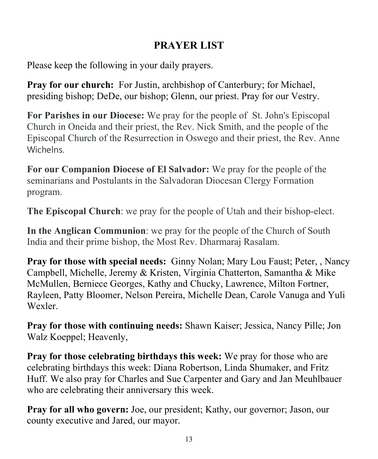# **PRAYER LIST**

Please keep the following in your daily prayers.

**Pray for our church:** For Justin, archbishop of Canterbury; for Michael, presiding bishop; DeDe, our bishop; Glenn, our priest. Pray for our Vestry.

**For Parishes in our Diocese:** We pray for the people of St. John's Episcopal Church in Oneida and their priest, the Rev. Nick Smith, and the people of the Episcopal Church of the Resurrection in Oswego and their priest, the Rev. Anne **Wichelns** 

**For our Companion Diocese of El Salvador:** We pray for the people of the seminarians and Postulants in the Salvadoran Diocesan Clergy Formation program.

**The Episcopal Church**: we pray for the people of Utah and their bishop-elect.

**In the Anglican Communion**: we pray for the people of the Church of South India and their prime bishop, the Most Rev. Dharmaraj Rasalam.

**Pray for those with special needs:** Ginny Nolan; Mary Lou Faust; Peter, , Nancy Campbell, Michelle, Jeremy & Kristen, Virginia Chatterton, Samantha & Mike McMullen, Berniece Georges, Kathy and Chucky, Lawrence, Milton Fortner, Rayleen, Patty Bloomer, Nelson Pereira, Michelle Dean, Carole Vanuga and Yuli Wexler.

**Pray for those with continuing needs:** Shawn Kaiser; Jessica, Nancy Pille; Jon Walz Koeppel; Heavenly,

**Pray for those celebrating birthdays this week:** We pray for those who are celebrating birthdays this week: Diana Robertson, Linda Shumaker, and Fritz Huff. We also pray for Charles and Sue Carpenter and Gary and Jan Meuhlbauer who are celebrating their anniversary this week.

**Pray for all who govern:** Joe, our president; Kathy, our governor; Jason, our county executive and Jared, our mayor.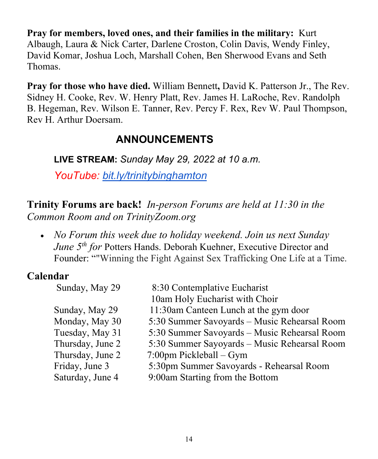**Pray for members, loved ones, and their families in the military:** Kurt Albaugh, Laura & Nick Carter, Darlene Croston, Colin Davis, Wendy Finley, David Komar, Joshua Loch, Marshall Cohen, Ben Sherwood Evans and Seth Thomas.

**Pray for those who have died.** William Bennett**,** David K. Patterson Jr., The Rev. Sidney H. Cooke, Rev. W. Henry Platt, Rev. James H. LaRoche, Rev. Randolph B. Hegeman, Rev. Wilson E. Tanner, Rev. Percy F. Rex, Rev W. Paul Thompson, Rev H. Arthur Doersam.

# **ANNOUNCEMENTS**

**LIVE STREAM:** *Sunday May 29, 2022 at 10 a.m.* 

*YouTube: [bit.ly/trinitybinghamton](https://www.youtube.com/c/TrinityMemorialEpiscopalChurch)*

**Trinity Forums are back!** *In-person Forums are held at 11:30 in the Common Room and on TrinityZoom.org*

• *No Forum this week due to holiday weekend. Join us next Sunday June 5<sup>th</sup> for* Potters Hands. Deborah Kuehner, Executive Director and Founder: ""Winning the Fight Against Sex Trafficking One Life at a Time.

# **Calendar**

| 8:30 Contemplative Eucharist                 |
|----------------------------------------------|
| 10am Holy Eucharist with Choir               |
| 11:30am Canteen Lunch at the gym door        |
| 5:30 Summer Savoyards - Music Rehearsal Room |
| 5:30 Summer Savoyards - Music Rehearsal Room |
| 5:30 Summer Sayoyards - Music Rehearsal Room |
| $7:00$ pm Pickleball – Gym                   |
| 5:30pm Summer Savoyards - Rehearsal Room     |
| 9:00am Starting from the Bottom              |
|                                              |